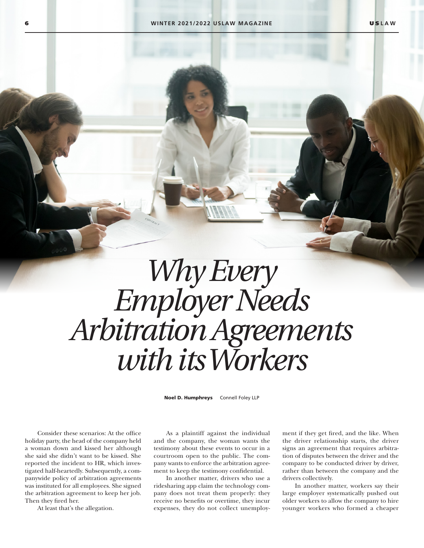## *Why Every Employer Needs Arbitration Agreements with its Workers*

Noel D. Humphreys Connell Foley LLP

Consider these scenarios: At the office holiday party, the head of the company held a woman down and kissed her although she said she didn't want to be kissed. She reported the incident to HR, which investigated half-heartedly. Subsequently, a companywide policy of arbitration agreements was instituted for all employees. She signed the arbitration agreement to keep her job. Then they fired her.

At least that's the allegation.

As a plaintiff against the individual and the company, the woman wants the testimony about these events to occur in a courtroom open to the public. The company wants to enforce the arbitration agreement to keep the testimony confidential.

In another matter, drivers who use a ridesharing app claim the technology company does not treat them properly: they receive no benefits or overtime, they incur expenses, they do not collect unemployment if they get fired, and the like. When the driver relationship starts, the driver signs an agreement that requires arbitration of disputes between the driver and the company to be conducted driver by driver, rather than between the company and the drivers collectively.

In another matter, workers say their large employer systematically pushed out older workers to allow the company to hire younger workers who formed a cheaper